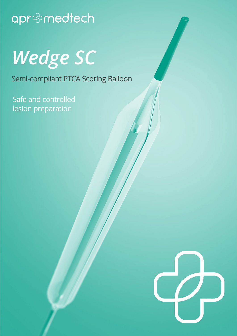## apr@medtech

*Wedge SC* 

Semi-compliant PTCA Scoring Balloon

Safe and controlled lesion preparation

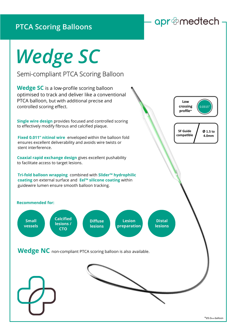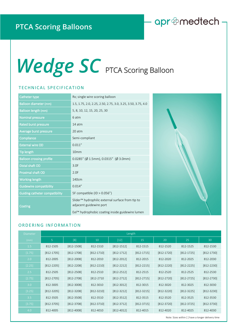### apr@medtech-

# Wedge SC PTCA Scoring Balloon

#### TECHNICAL SPECIFICATION

| Catheter type                         | Rx; single wire scoring balloon                                                         |  |  |
|---------------------------------------|-----------------------------------------------------------------------------------------|--|--|
| <b>Balloon diameter (mm)</b>          | 1.5, 1.75, 2.0, 2.25, 2.50, 2.75, 3.0, 3.25, 3.50, 3.75, 4.0                            |  |  |
| <b>Balloon length (mm)</b>            | 5, 8, 10, 12, 15, 20, 25, 30                                                            |  |  |
| <b>Nominal pressure</b>               | 6 atm                                                                                   |  |  |
| <b>Rated burst pressure</b>           | 14 atm                                                                                  |  |  |
| Average burst pressure                | 20 atm                                                                                  |  |  |
| Compliance                            | Semi-compliant                                                                          |  |  |
| <b>External wire OD</b>               | 0.011''                                                                                 |  |  |
| <b>Tip length</b>                     | 10mm                                                                                    |  |  |
| <b>Balloon crossing profile</b>       | 0.0285" (Ø 1.5mm), 0.0315" (Ø 3.0mm)                                                    |  |  |
| Distal shaft OD                       | 3.0F                                                                                    |  |  |
| Proximal shaft OD                     | 2.0F                                                                                    |  |  |
| <b>Working length</b>                 | 140cm                                                                                   |  |  |
| <b>Guidewire compatibility</b>        | 0.014''                                                                                 |  |  |
| <b>Guiding catheter compatibility</b> | 5F compatible (ID > 0.056")                                                             |  |  |
| Coating                               | Slider <sup>™</sup> hydrophilic external surface from tip to<br>adjacent guidewire port |  |  |
|                                       | Eel™ hydrophobic coating inside guidewire lumen                                         |  |  |



### ORDERING INFORMATION

| Diameter | Length         |                |                |                |                |                |                |                |  |
|----------|----------------|----------------|----------------|----------------|----------------|----------------|----------------|----------------|--|
| (mm)     | 5              | [8]            | 10             | $[12]$         | 15             | 20             | 25             | 30             |  |
| 1.5      | 812-1505       | $[812 - 1508]$ | 812-1510       | $[812 - 1512]$ | 812-1515       | 812-1520       | 812-1525       | 812-1530       |  |
| [1.75]   | $[812-1705]$   | $[812-1708]$   | $[812-1710]$   | $[812-1712]$   | $[812-1715]$   | $[812 - 1720]$ | $[812-1725]$   | $[812 - 1730]$ |  |
| 2.0      | 812-2005       | $[812 - 2008]$ | 812-2010       | $[812 - 2012]$ | 812-2015       | 812-2020       | 812-2025       | 812-2030       |  |
| [2.25]   | $[812 - 2205]$ | $[812 - 2208]$ | $[812 - 2210]$ | $[812 - 2212]$ | $[812 - 2215]$ | $[812 - 2220]$ | $[812 - 2225]$ | $[812 - 2230]$ |  |
| 2.5      | 812-2505       | $[812 - 2508]$ | 812-2510       | $[812 - 2512]$ | 812-2515       | 812-2520       | 812-2525       | 812-2530       |  |
| [2.75]   | $[812 - 2705]$ | $[812 - 2708]$ | $[812 - 2710]$ | $[812 - 2712]$ | $[812 - 2715]$ | $[812 - 2720]$ | $[812 - 2725]$ | $[812 - 2730]$ |  |
| 3.0      | 812-3005       | $[812 - 3008]$ | 812-3010       | $[812 - 3012]$ | 812-3015       | 812-3020       | 812-3025       | 812-3030       |  |
| [3.25]   | $[812 - 3205]$ | $[812 - 3208]$ | $[812 - 3210]$ | $[812-3212]$   | $[812-3215]$   | $[812 - 3220]$ | $[812 - 3225]$ | $[812 - 3230]$ |  |
| 3.5      | 812-3505       | $[812 - 3508]$ | 812-3510       | $[812-3512]$   | 812-3515       | 812-3520       | 812-3525       | 812-3530       |  |
| [3.75]   | $[812-3705]$   | $[812 - 3708]$ | $[812-3710]$   | $[812-3712]$   | $[812-3715]$   | $[812 - 3720]$ | $[812-3725]$   | $[812 - 3730]$ |  |
| 4.0      | 812-4005       | $[812 - 4008]$ | 812-4010       | $[812 - 4012]$ | 812-4015       | 812-4020       | 812-4025       | 812-4030       |  |

Note: Sizes within [ ] have a longer delivery time